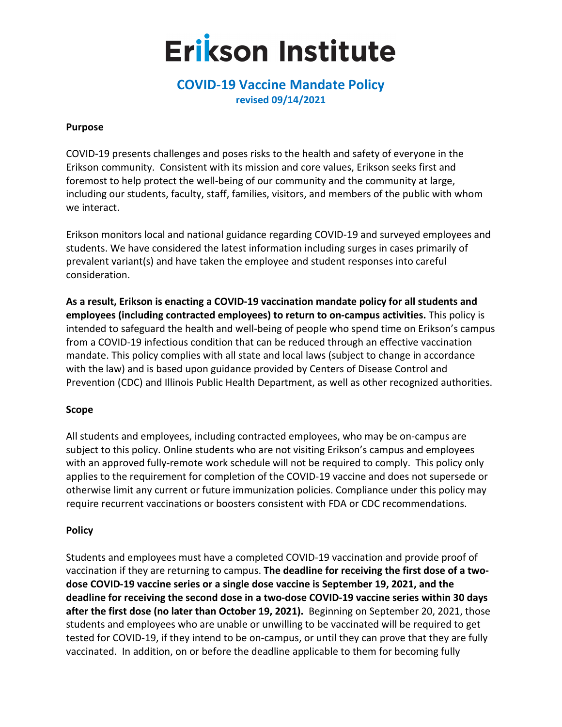

## **COVID-19 Vaccine Mandate Policy revised 09/14/2021**

#### **Purpose**

COVID-19 presents challenges and poses risks to the health and safety of everyone in the Erikson community. Consistent with its mission and core values, Erikson seeks first and foremost to help protect the well-being of our community and the community at large, including our students, faculty, staff, families, visitors, and members of the public with whom we interact.

Erikson monitors local and national guidance regarding COVID-19 and surveyed employees and students. We have considered the latest information including surges in cases primarily of prevalent variant(s) and have taken the employee and student responses into careful consideration.

**As a result, Erikson is enacting a COVID-19 vaccination mandate policy for all students and employees (including contracted employees) to return to on-campus activities.** This policy is intended to safeguard the health and well-being of people who spend time on Erikson's campus from a COVID-19 infectious condition that can be reduced through an effective vaccination mandate. This policy complies with all state and local laws (subject to change in accordance with the law) and is based upon guidance provided by Centers of Disease Control and Prevention (CDC) and Illinois Public Health Department, as well as other recognized authorities.

#### **Scope**

All students and employees, including contracted employees, who may be on-campus are subject to this policy. Online students who are not visiting Erikson's campus and employees with an approved fully-remote work schedule will not be required to comply. This policy only applies to the requirement for completion of the COVID-19 vaccine and does not supersede or otherwise limit any current or future immunization policies. Compliance under this policy may require recurrent vaccinations or boosters consistent with FDA or CDC recommendations.

#### **Policy**

Students and employees must have a completed COVID-19 vaccination and provide proof of vaccination if they are returning to campus. **The deadline for receiving the first dose of a twodose COVID-19 vaccine series or a single dose vaccine is September 19, 2021, and the deadline for receiving the second dose in a two-dose COVID-19 vaccine series within 30 days after the first dose (no later than October 19, 2021).** Beginning on September 20, 2021, those students and employees who are unable or unwilling to be vaccinated will be required to get tested for COVID-19, if they intend to be on-campus, or until they can prove that they are fully vaccinated. In addition, on or before the deadline applicable to them for becoming fully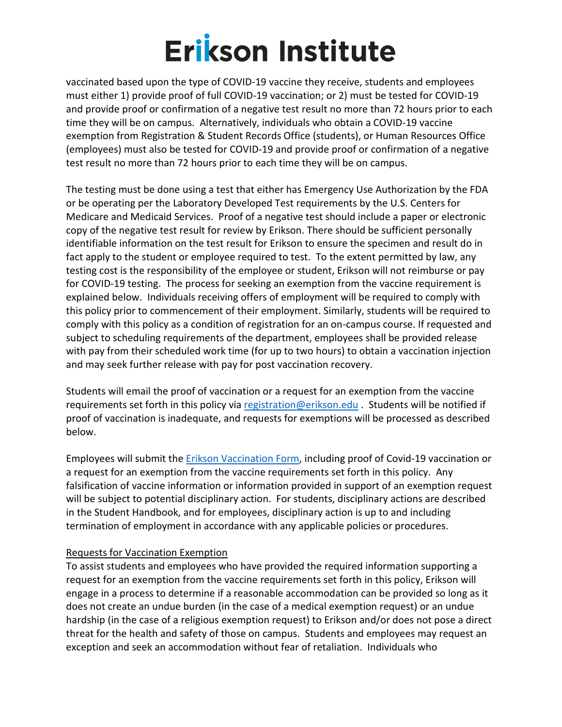## Erikson Institute

vaccinated based upon the type of COVID-19 vaccine they receive, students and employees must either 1) provide proof of full COVID-19 vaccination; or 2) must be tested for COVID-19 and provide proof or confirmation of a negative test result no more than 72 hours prior to each time they will be on campus. Alternatively, individuals who obtain a COVID-19 vaccine exemption from Registration & Student Records Office (students), or Human Resources Office (employees) must also be tested for COVID-19 and provide proof or confirmation of a negative test result no more than 72 hours prior to each time they will be on campus.

The testing must be done using a test that either has Emergency Use Authorization by the FDA or be operating per the Laboratory Developed Test requirements by the U.S. Centers for Medicare and Medicaid Services. Proof of a negative test should include a paper or electronic copy of the negative test result for review by Erikson. There should be sufficient personally identifiable information on the test result for Erikson to ensure the specimen and result do in fact apply to the student or employee required to test. To the extent permitted by law, any testing cost is the responsibility of the employee or student, Erikson will not reimburse or pay for COVID-19 testing. The process for seeking an exemption from the vaccine requirement is explained below. Individuals receiving offers of employment will be required to comply with this policy prior to commencement of their employment. Similarly, students will be required to comply with this policy as a condition of registration for an on-campus course. If requested and subject to scheduling requirements of the department, employees shall be provided release with pay from their scheduled work time (for up to two hours) to obtain a vaccination injection and may seek further release with pay for post vaccination recovery.

Students will email the proof of vaccination or a request for an exemption from the vaccine requirements set forth in this policy via [registration@erikson.edu](mailto:registration@erikson.edu) . Students will be notified if proof of vaccination is inadequate, and requests for exemptions will be processed as described below.

Employees will submit the [Erikson Vaccination Form,](https://forms.office.com/Pages/ResponsePage.aspx?id=wltmnPDhUki-JY2n-M8k2_1yhYB8K75Ig4KUH57BKcdUNldLTU1LQllDRkhKNzlNV0RBT0cySEZBVCQlQCN0PWcu) including proof of Covid-19 vaccination or a request for an exemption from the vaccine requirements set forth in this policy. Any falsification of vaccine information or information provided in support of an exemption request will be subject to potential disciplinary action. For students, disciplinary actions are described in the Student Handbook, and for employees, disciplinary action is up to and including termination of employment in accordance with any applicable policies or procedures.

### Requests for Vaccination Exemption

To assist students and employees who have provided the required information supporting a request for an exemption from the vaccine requirements set forth in this policy, Erikson will engage in a process to determine if a reasonable accommodation can be provided so long as it does not create an undue burden (in the case of a medical exemption request) or an undue hardship (in the case of a religious exemption request) to Erikson and/or does not pose a direct threat for the health and safety of those on campus. Students and employees may request an exception and seek an accommodation without fear of retaliation. Individuals who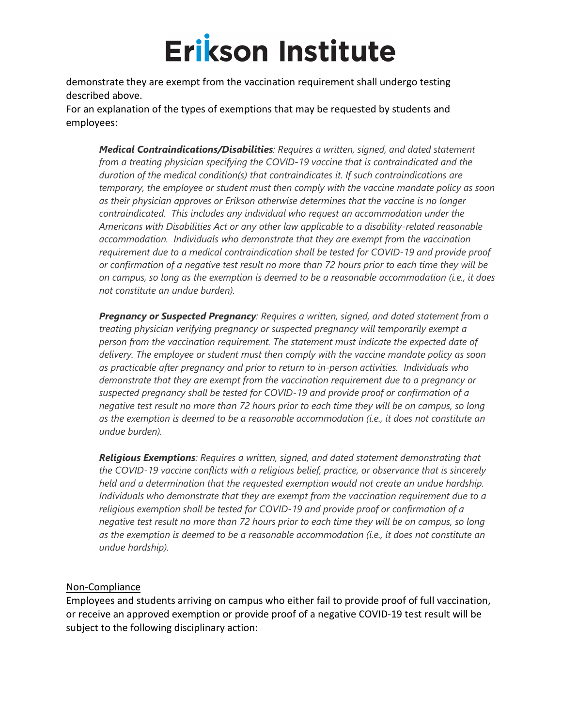## Erikson Institute

demonstrate they are exempt from the vaccination requirement shall undergo testing described above.

For an explanation of the types of exemptions that may be requested by students and employees:

*Medical Contraindications/Disabilities: Requires a written, signed, and dated statement from a treating physician specifying the COVID-19 vaccine that is contraindicated and the duration of the medical condition(s) that contraindicates it. If such contraindications are temporary, the employee or student must then comply with the vaccine mandate policy as soon as their physician approves or Erikson otherwise determines that the vaccine is no longer contraindicated. This includes any individual who request an accommodation under the Americans with Disabilities Act or any other law applicable to a disability-related reasonable accommodation. Individuals who demonstrate that they are exempt from the vaccination requirement due to a medical contraindication shall be tested for COVID-19 and provide proof or confirmation of a negative test result no more than 72 hours prior to each time they will be on campus, so long as the exemption is deemed to be a reasonable accommodation (i.e., it does not constitute an undue burden).*

*Pregnancy or Suspected Pregnancy: Requires a written, signed, and dated statement from a treating physician verifying pregnancy or suspected pregnancy will temporarily exempt a person from the vaccination requirement. The statement must indicate the expected date of delivery. The employee or student must then comply with the vaccine mandate policy as soon as practicable after pregnancy and prior to return to in-person activities. Individuals who demonstrate that they are exempt from the vaccination requirement due to a pregnancy or suspected pregnancy shall be tested for COVID-19 and provide proof or confirmation of a negative test result no more than 72 hours prior to each time they will be on campus, so long as the exemption is deemed to be a reasonable accommodation (i.e., it does not constitute an undue burden).*

*Religious Exemptions: Requires a written, signed, and dated statement demonstrating that the COVID-19 vaccine conflicts with a religious belief, practice, or observance that is sincerely held and a determination that the requested exemption would not create an undue hardship. Individuals who demonstrate that they are exempt from the vaccination requirement due to a religious exemption shall be tested for COVID-19 and provide proof or confirmation of a negative test result no more than 72 hours prior to each time they will be on campus, so long as the exemption is deemed to be a reasonable accommodation (i.e., it does not constitute an undue hardship).*

### Non-Compliance

Employees and students arriving on campus who either fail to provide proof of full vaccination, or receive an approved exemption or provide proof of a negative COVID-19 test result will be subject to the following disciplinary action: